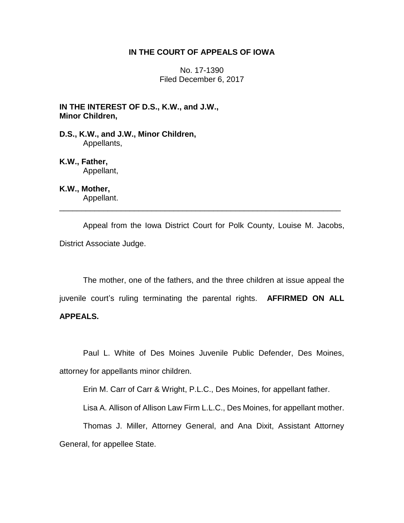## **IN THE COURT OF APPEALS OF IOWA**

No. 17-1390 Filed December 6, 2017

**IN THE INTEREST OF D.S., K.W., and J.W., Minor Children,**

**D.S., K.W., and J.W., Minor Children,** Appellants,

**K.W., Father,** Appellant,

**K.W., Mother,** Appellant.

Appeal from the Iowa District Court for Polk County, Louise M. Jacobs, District Associate Judge.

\_\_\_\_\_\_\_\_\_\_\_\_\_\_\_\_\_\_\_\_\_\_\_\_\_\_\_\_\_\_\_\_\_\_\_\_\_\_\_\_\_\_\_\_\_\_\_\_\_\_\_\_\_\_\_\_\_\_\_\_\_\_\_\_

The mother, one of the fathers, and the three children at issue appeal the juvenile court's ruling terminating the parental rights. **AFFIRMED ON ALL** 

# **APPEALS.**

Paul L. White of Des Moines Juvenile Public Defender, Des Moines, attorney for appellants minor children.

Erin M. Carr of Carr & Wright, P.L.C., Des Moines, for appellant father.

Lisa A. Allison of Allison Law Firm L.L.C., Des Moines, for appellant mother.

Thomas J. Miller, Attorney General, and Ana Dixit, Assistant Attorney General, for appellee State.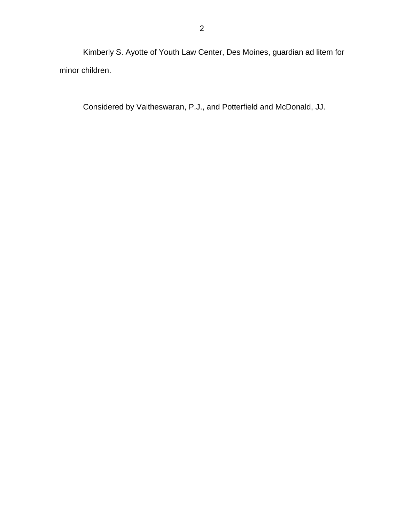Kimberly S. Ayotte of Youth Law Center, Des Moines, guardian ad litem for minor children.

Considered by Vaitheswaran, P.J., and Potterfield and McDonald, JJ.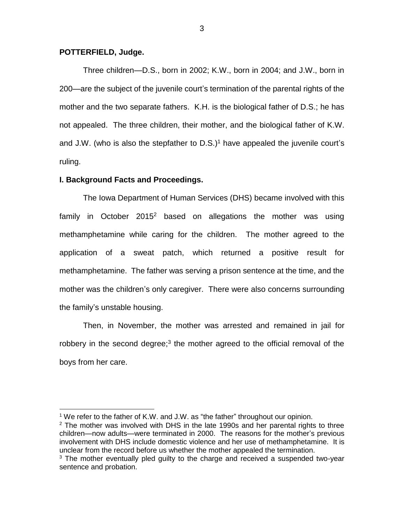### **POTTERFIELD, Judge.**

 $\overline{a}$ 

Three children—D.S., born in 2002; K.W., born in 2004; and J.W., born in 200—are the subject of the juvenile court's termination of the parental rights of the mother and the two separate fathers. K.H. is the biological father of D.S.; he has not appealed. The three children, their mother, and the biological father of K.W. and J.W. (who is also the stepfather to  $D.S.$ )<sup>1</sup> have appealed the juvenile court's ruling.

#### **I. Background Facts and Proceedings.**

The Iowa Department of Human Services (DHS) became involved with this family in October  $2015<sup>2</sup>$  based on allegations the mother was using methamphetamine while caring for the children. The mother agreed to the application of a sweat patch, which returned a positive result for methamphetamine. The father was serving a prison sentence at the time, and the mother was the children's only caregiver. There were also concerns surrounding the family's unstable housing.

Then, in November, the mother was arrested and remained in jail for robbery in the second degree;<sup>3</sup> the mother agreed to the official removal of the boys from her care.

<sup>&</sup>lt;sup>1</sup> We refer to the father of K.W. and J.W. as "the father" throughout our opinion.

 $2$  The mother was involved with DHS in the late 1990s and her parental rights to three children—now adults—were terminated in 2000. The reasons for the mother's previous involvement with DHS include domestic violence and her use of methamphetamine. It is unclear from the record before us whether the mother appealed the termination.

 $3$  The mother eventually pled quilty to the charge and received a suspended two-year sentence and probation.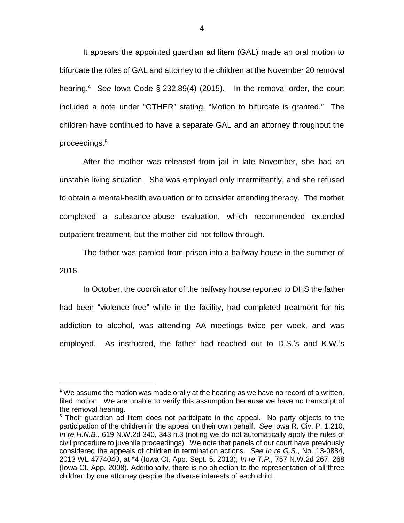It appears the appointed guardian ad litem (GAL) made an oral motion to bifurcate the roles of GAL and attorney to the children at the November 20 removal hearing. 4 *See* Iowa Code § 232.89(4) (2015). In the removal order, the court included a note under "OTHER" stating, "Motion to bifurcate is granted." The children have continued to have a separate GAL and an attorney throughout the proceedings.<sup>5</sup>

After the mother was released from jail in late November, she had an unstable living situation. She was employed only intermittently, and she refused to obtain a mental-health evaluation or to consider attending therapy. The mother completed a substance-abuse evaluation, which recommended extended outpatient treatment, but the mother did not follow through.

The father was paroled from prison into a halfway house in the summer of 2016.

In October, the coordinator of the halfway house reported to DHS the father had been "violence free" while in the facility, had completed treatment for his addiction to alcohol, was attending AA meetings twice per week, and was employed. As instructed, the father had reached out to D.S.'s and K.W.'s

 $\overline{a}$ 

 $4$  We assume the motion was made orally at the hearing as we have no record of a written, filed motion. We are unable to verify this assumption because we have no transcript of the removal hearing.

<sup>&</sup>lt;sup>5</sup> Their guardian ad litem does not participate in the appeal. No party objects to the participation of the children in the appeal on their own behalf. *See* Iowa R. Civ. P. 1.210; *In re H.N.B.*, 619 N.W.2d 340, 343 n.3 (noting we do not automatically apply the rules of civil procedure to juvenile proceedings). We note that panels of our court have previously considered the appeals of children in termination actions. *See In re G.S.*, No. 13-0884, 2013 WL 4774040, at \*4 (Iowa Ct. App. Sept. 5, 2013); *In re T.P.*, 757 N.W.2d 267, 268 (Iowa Ct. App. 2008). Additionally, there is no objection to the representation of all three children by one attorney despite the diverse interests of each child.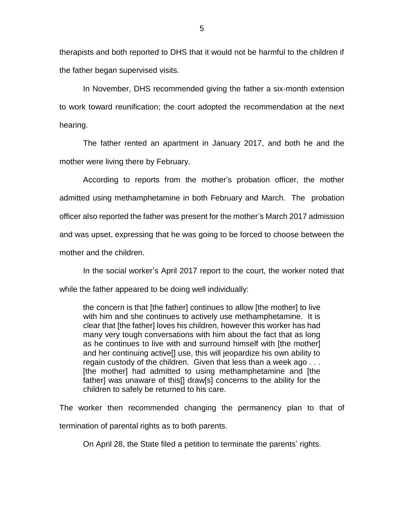therapists and both reported to DHS that it would not be harmful to the children if the father began supervised visits.

In November, DHS recommended giving the father a six-month extension to work toward reunification; the court adopted the recommendation at the next hearing.

The father rented an apartment in January 2017, and both he and the mother were living there by February.

According to reports from the mother's probation officer, the mother admitted using methamphetamine in both February and March. The probation officer also reported the father was present for the mother's March 2017 admission and was upset, expressing that he was going to be forced to choose between the mother and the children.

In the social worker's April 2017 report to the court, the worker noted that while the father appeared to be doing well individually:

the concern is that [the father] continues to allow [the mother] to live with him and she continues to actively use methamphetamine. It is clear that [the father] loves his children, however this worker has had many very tough conversations with him about the fact that as long as he continues to live with and surround himself with [the mother] and her continuing active[] use, this will jeopardize his own ability to regain custody of the children. Given that less than a week ago . . . [the mother] had admitted to using methamphetamine and [the father] was unaware of this[] draw[s] concerns to the ability for the children to safely be returned to his care.

The worker then recommended changing the permanency plan to that of termination of parental rights as to both parents.

On April 28, the State filed a petition to terminate the parents' rights.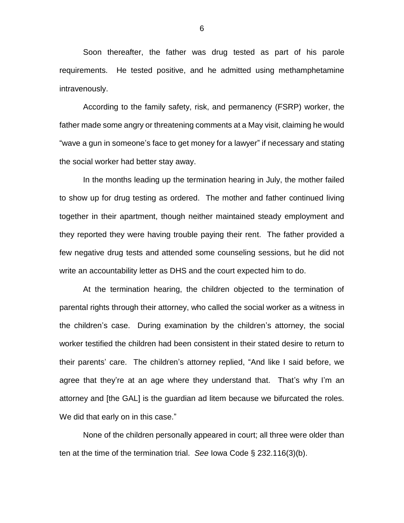Soon thereafter, the father was drug tested as part of his parole requirements. He tested positive, and he admitted using methamphetamine intravenously.

According to the family safety, risk, and permanency (FSRP) worker, the father made some angry or threatening comments at a May visit, claiming he would "wave a gun in someone's face to get money for a lawyer" if necessary and stating the social worker had better stay away.

In the months leading up the termination hearing in July, the mother failed to show up for drug testing as ordered. The mother and father continued living together in their apartment, though neither maintained steady employment and they reported they were having trouble paying their rent. The father provided a few negative drug tests and attended some counseling sessions, but he did not write an accountability letter as DHS and the court expected him to do.

At the termination hearing, the children objected to the termination of parental rights through their attorney, who called the social worker as a witness in the children's case. During examination by the children's attorney, the social worker testified the children had been consistent in their stated desire to return to their parents' care. The children's attorney replied, "And like I said before, we agree that they're at an age where they understand that. That's why I'm an attorney and [the GAL] is the guardian ad litem because we bifurcated the roles. We did that early on in this case."

None of the children personally appeared in court; all three were older than ten at the time of the termination trial. *See* Iowa Code § 232.116(3)(b).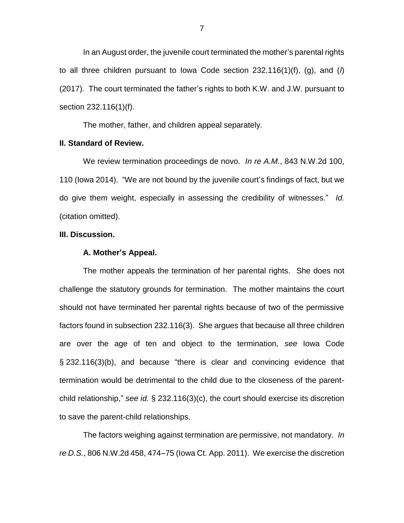In an August order, the juvenile court terminated the mother's parental rights to all three children pursuant to Iowa Code section 232.116(1)(f), (g), and (*l*) (2017). The court terminated the father's rights to both K.W. and J.W. pursuant to section 232.116(1)(f).

The mother, father, and children appeal separately.

## **II. Standard of Review.**

We review termination proceedings de novo. *In re A.M.*, 843 N.W.2d 100, 110 (Iowa 2014). "We are not bound by the juvenile court's findings of fact, but we do give them weight, especially in assessing the credibility of witnesses." *Id.*  (citation omitted).

#### **III. Discussion.**

#### **A. Mother's Appeal.**

The mother appeals the termination of her parental rights. She does not challenge the statutory grounds for termination. The mother maintains the court should not have terminated her parental rights because of two of the permissive factors found in subsection 232.116(3). She argues that because all three children are over the age of ten and object to the termination, *see* Iowa Code § 232.116(3)(b), and because "there is clear and convincing evidence that termination would be detrimental to the child due to the closeness of the parentchild relationship," *see id.* § 232.116(3)(c), the court should exercise its discretion to save the parent-child relationships.

The factors weighing against termination are permissive, not mandatory. *In re D.S.*, 806 N.W.2d 458, 474–75 (Iowa Ct. App. 2011). We exercise the discretion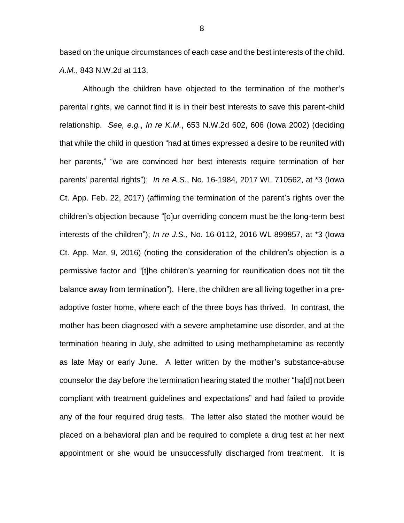based on the unique circumstances of each case and the best interests of the child. *A.M.*, 843 N.W.2d at 113.

Although the children have objected to the termination of the mother's parental rights, we cannot find it is in their best interests to save this parent-child relationship. *See, e.g.*, *In re K.M.*, 653 N.W.2d 602, 606 (Iowa 2002) (deciding that while the child in question "had at times expressed a desire to be reunited with her parents," "we are convinced her best interests require termination of her parents' parental rights"); *In re A.S.*, No. 16-1984, 2017 WL 710562, at \*3 (Iowa Ct. App. Feb. 22, 2017) (affirming the termination of the parent's rights over the children's objection because "[o]ur overriding concern must be the long-term best interests of the children"); *In re J.S.*, No. 16-0112, 2016 WL 899857, at \*3 (Iowa Ct. App. Mar. 9, 2016) (noting the consideration of the children's objection is a permissive factor and "[t]he children's yearning for reunification does not tilt the balance away from termination"). Here, the children are all living together in a preadoptive foster home, where each of the three boys has thrived. In contrast, the mother has been diagnosed with a severe amphetamine use disorder, and at the termination hearing in July, she admitted to using methamphetamine as recently as late May or early June. A letter written by the mother's substance-abuse counselor the day before the termination hearing stated the mother "ha[d] not been compliant with treatment guidelines and expectations" and had failed to provide any of the four required drug tests. The letter also stated the mother would be placed on a behavioral plan and be required to complete a drug test at her next appointment or she would be unsuccessfully discharged from treatment. It is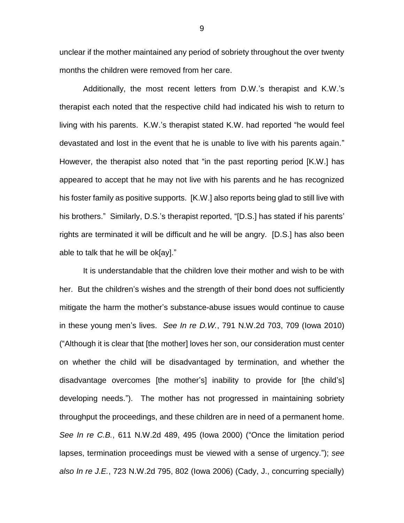unclear if the mother maintained any period of sobriety throughout the over twenty months the children were removed from her care.

Additionally, the most recent letters from D.W.'s therapist and K.W.'s therapist each noted that the respective child had indicated his wish to return to living with his parents. K.W.'s therapist stated K.W. had reported "he would feel devastated and lost in the event that he is unable to live with his parents again." However, the therapist also noted that "in the past reporting period [K.W.] has appeared to accept that he may not live with his parents and he has recognized his foster family as positive supports. [K.W.] also reports being glad to still live with his brothers." Similarly, D.S.'s therapist reported, "[D.S.] has stated if his parents' rights are terminated it will be difficult and he will be angry. [D.S.] has also been able to talk that he will be ok[ay]."

It is understandable that the children love their mother and wish to be with her. But the children's wishes and the strength of their bond does not sufficiently mitigate the harm the mother's substance-abuse issues would continue to cause in these young men's lives. *See In re D.W.*, 791 N.W.2d 703, 709 (Iowa 2010) ("Although it is clear that [the mother] loves her son, our consideration must center on whether the child will be disadvantaged by termination, and whether the disadvantage overcomes [the mother's] inability to provide for [the child's] developing needs."). The mother has not progressed in maintaining sobriety throughput the proceedings, and these children are in need of a permanent home. *See In re C.B.*, 611 N.W.2d 489, 495 (Iowa 2000) ("Once the limitation period lapses, termination proceedings must be viewed with a sense of urgency."); *see also In re J.E.*, 723 N.W.2d 795, 802 (Iowa 2006) (Cady, J., concurring specially)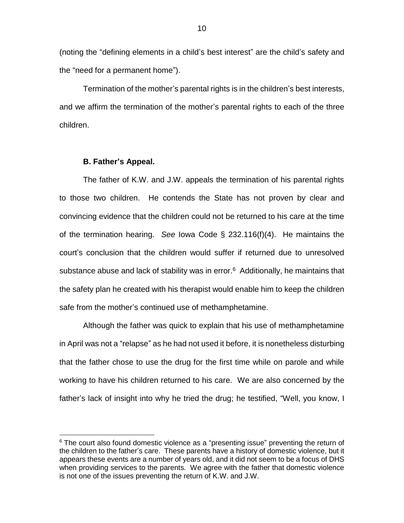(noting the "defining elements in a child's best interest" are the child's safety and the "need for a permanent home").

Termination of the mother's parental rights is in the children's best interests, and we affirm the termination of the mother's parental rights to each of the three children.

### **B. Father's Appeal.**

 $\overline{a}$ 

The father of K.W. and J.W. appeals the termination of his parental rights to those two children. He contends the State has not proven by clear and convincing evidence that the children could not be returned to his care at the time of the termination hearing. *See* Iowa Code § 232.116(f)(4). He maintains the court's conclusion that the children would suffer if returned due to unresolved substance abuse and lack of stability was in error.<sup>6</sup> Additionally, he maintains that the safety plan he created with his therapist would enable him to keep the children safe from the mother's continued use of methamphetamine.

Although the father was quick to explain that his use of methamphetamine in April was not a "relapse" as he had not used it before, it is nonetheless disturbing that the father chose to use the drug for the first time while on parole and while working to have his children returned to his care. We are also concerned by the father's lack of insight into why he tried the drug; he testified, "Well, you know, I

<sup>&</sup>lt;sup>6</sup> The court also found domestic violence as a "presenting issue" preventing the return of the children to the father's care. These parents have a history of domestic violence, but it appears these events are a number of years old, and it did not seem to be a focus of DHS when providing services to the parents. We agree with the father that domestic violence is not one of the issues preventing the return of K.W. and J.W.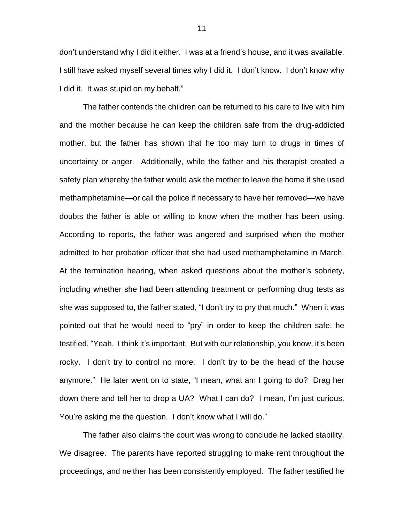don't understand why I did it either. I was at a friend's house, and it was available. I still have asked myself several times why I did it. I don't know. I don't know why I did it. It was stupid on my behalf."

The father contends the children can be returned to his care to live with him and the mother because he can keep the children safe from the drug-addicted mother, but the father has shown that he too may turn to drugs in times of uncertainty or anger. Additionally, while the father and his therapist created a safety plan whereby the father would ask the mother to leave the home if she used methamphetamine—or call the police if necessary to have her removed—we have doubts the father is able or willing to know when the mother has been using. According to reports, the father was angered and surprised when the mother admitted to her probation officer that she had used methamphetamine in March. At the termination hearing, when asked questions about the mother's sobriety, including whether she had been attending treatment or performing drug tests as she was supposed to, the father stated, "I don't try to pry that much." When it was pointed out that he would need to "pry" in order to keep the children safe, he testified, "Yeah. I think it's important. But with our relationship, you know, it's been rocky. I don't try to control no more. I don't try to be the head of the house anymore." He later went on to state, "I mean, what am I going to do? Drag her down there and tell her to drop a UA? What I can do? I mean, I'm just curious. You're asking me the question. I don't know what I will do."

The father also claims the court was wrong to conclude he lacked stability. We disagree. The parents have reported struggling to make rent throughout the proceedings, and neither has been consistently employed. The father testified he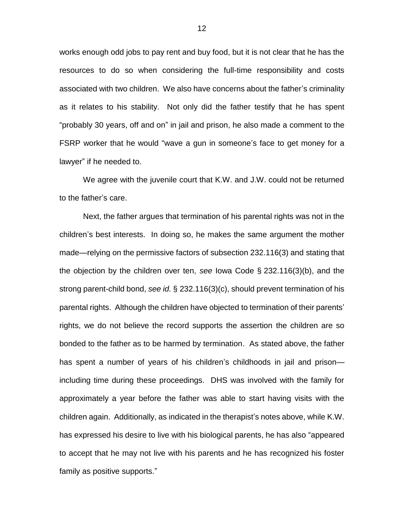works enough odd jobs to pay rent and buy food, but it is not clear that he has the resources to do so when considering the full-time responsibility and costs associated with two children. We also have concerns about the father's criminality as it relates to his stability. Not only did the father testify that he has spent "probably 30 years, off and on" in jail and prison, he also made a comment to the FSRP worker that he would "wave a gun in someone's face to get money for a lawyer" if he needed to.

We agree with the juvenile court that K.W. and J.W. could not be returned to the father's care.

Next, the father argues that termination of his parental rights was not in the children's best interests. In doing so, he makes the same argument the mother made—relying on the permissive factors of subsection 232.116(3) and stating that the objection by the children over ten, *see* Iowa Code § 232.116(3)(b), and the strong parent-child bond, *see id.* § 232.116(3)(c), should prevent termination of his parental rights. Although the children have objected to termination of their parents' rights, we do not believe the record supports the assertion the children are so bonded to the father as to be harmed by termination. As stated above, the father has spent a number of years of his children's childhoods in jail and prison including time during these proceedings. DHS was involved with the family for approximately a year before the father was able to start having visits with the children again. Additionally, as indicated in the therapist's notes above, while K.W. has expressed his desire to live with his biological parents, he has also "appeared to accept that he may not live with his parents and he has recognized his foster family as positive supports."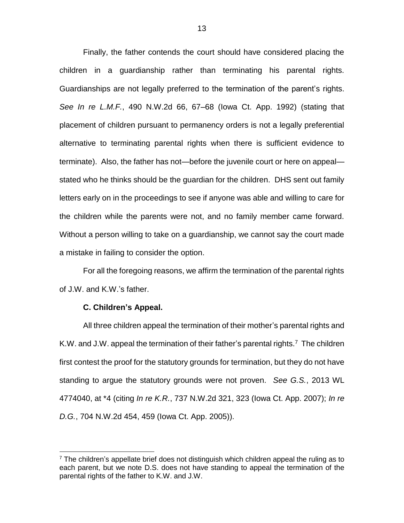Finally, the father contends the court should have considered placing the children in a guardianship rather than terminating his parental rights. Guardianships are not legally preferred to the termination of the parent's rights. *See In re L.M.F.*, 490 N.W.2d 66, 67–68 (Iowa Ct. App. 1992) (stating that placement of children pursuant to permanency orders is not a legally preferential alternative to terminating parental rights when there is sufficient evidence to terminate). Also, the father has not—before the juvenile court or here on appeal stated who he thinks should be the guardian for the children. DHS sent out family letters early on in the proceedings to see if anyone was able and willing to care for the children while the parents were not, and no family member came forward. Without a person willing to take on a guardianship, we cannot say the court made a mistake in failing to consider the option.

For all the foregoing reasons, we affirm the termination of the parental rights of J.W. and K.W.'s father.

#### **C. Children's Appeal.**

 $\overline{a}$ 

All three children appeal the termination of their mother's parental rights and K.W. and J.W. appeal the termination of their father's parental rights.<sup>7</sup> The children first contest the proof for the statutory grounds for termination, but they do not have standing to argue the statutory grounds were not proven. *See G.S.*, 2013 WL 4774040, at \*4 (citing *In re K.R.*, 737 N.W.2d 321, 323 (Iowa Ct. App. 2007); *In re D.G.*, 704 N.W.2d 454, 459 (Iowa Ct. App. 2005)).

 $<sup>7</sup>$  The children's appellate brief does not distinguish which children appeal the ruling as to</sup> each parent, but we note D.S. does not have standing to appeal the termination of the parental rights of the father to K.W. and J.W.